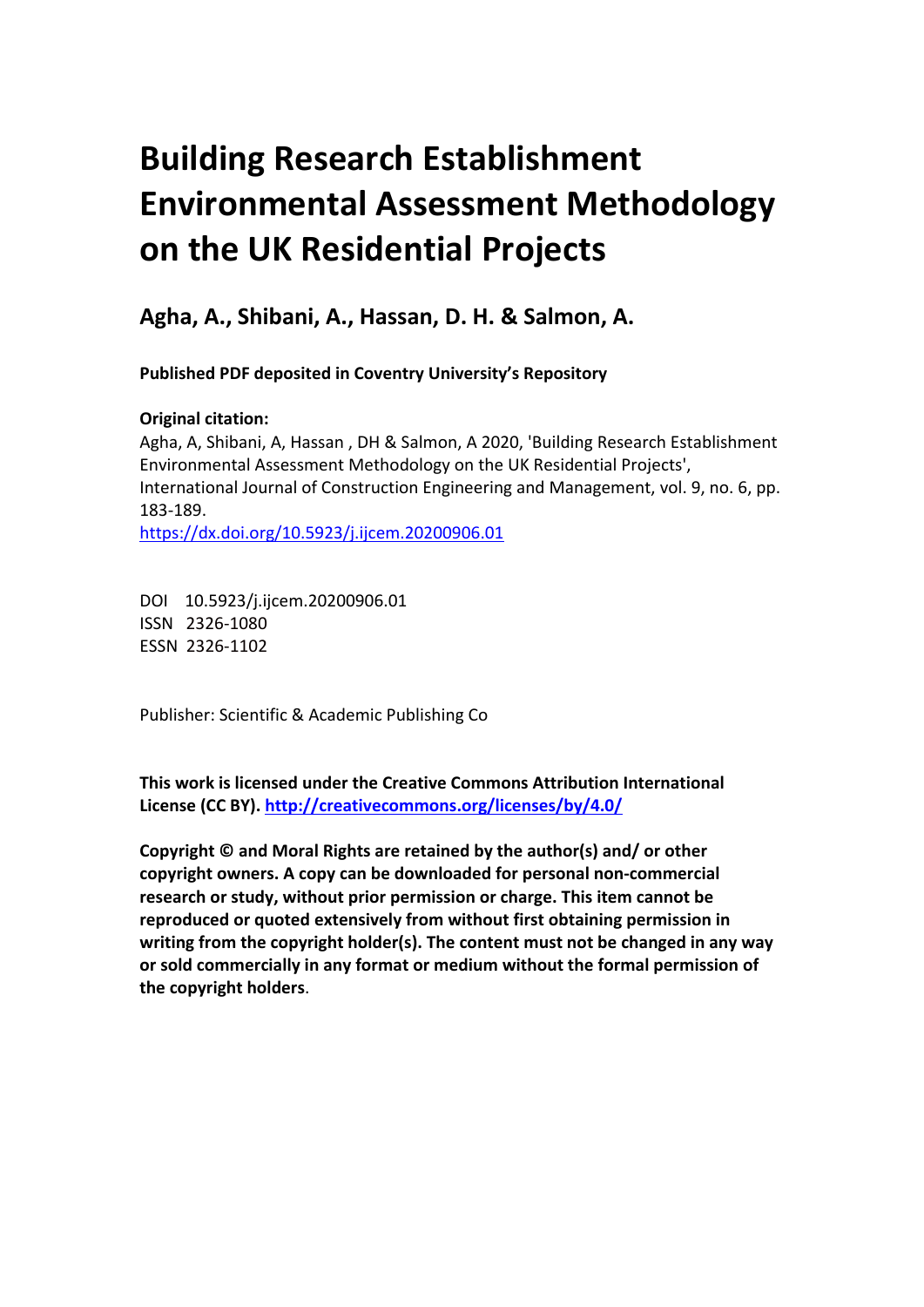# **Building Research Establishment Environmental Assessment Methodology on the UK Residential Projects**

**Agha, A., Shibani, A., Hassan, D. H. & Salmon, A.** 

**Published PDF deposited in Coventry University's Repository** 

### **Original citation:**

Agha, A, Shibani, A, Hassan , DH & Salmon, A 2020, 'Building Research Establishment Environmental Assessment Methodology on the UK Residential Projects', International Journal of Construction Engineering and Management, vol. 9, no. 6, pp. 183-189.

https://dx.doi.org/10.5923/j.ijcem.20200906.01

 DOI 10.5923/j.ijcem.20200906.01 ISSN 2326-1080 ESSN 2326-1102

Publisher: Scientific & Academic Publishing Co

**This work is licensed under the Creative Commons Attribution International License (CC BY).<http://creativecommons.org/licenses/by/4.0/>**

**Copyright © and Moral Rights are retained by the author(s) and/ or other copyright owners. A copy can be downloaded for personal non-commercial research or study, without prior permission or charge. This item cannot be reproduced or quoted extensively from without first obtaining permission in writing from the copyright holder(s). The content must not be changed in any way or sold commercially in any format or medium without the formal permission of the copyright holders**.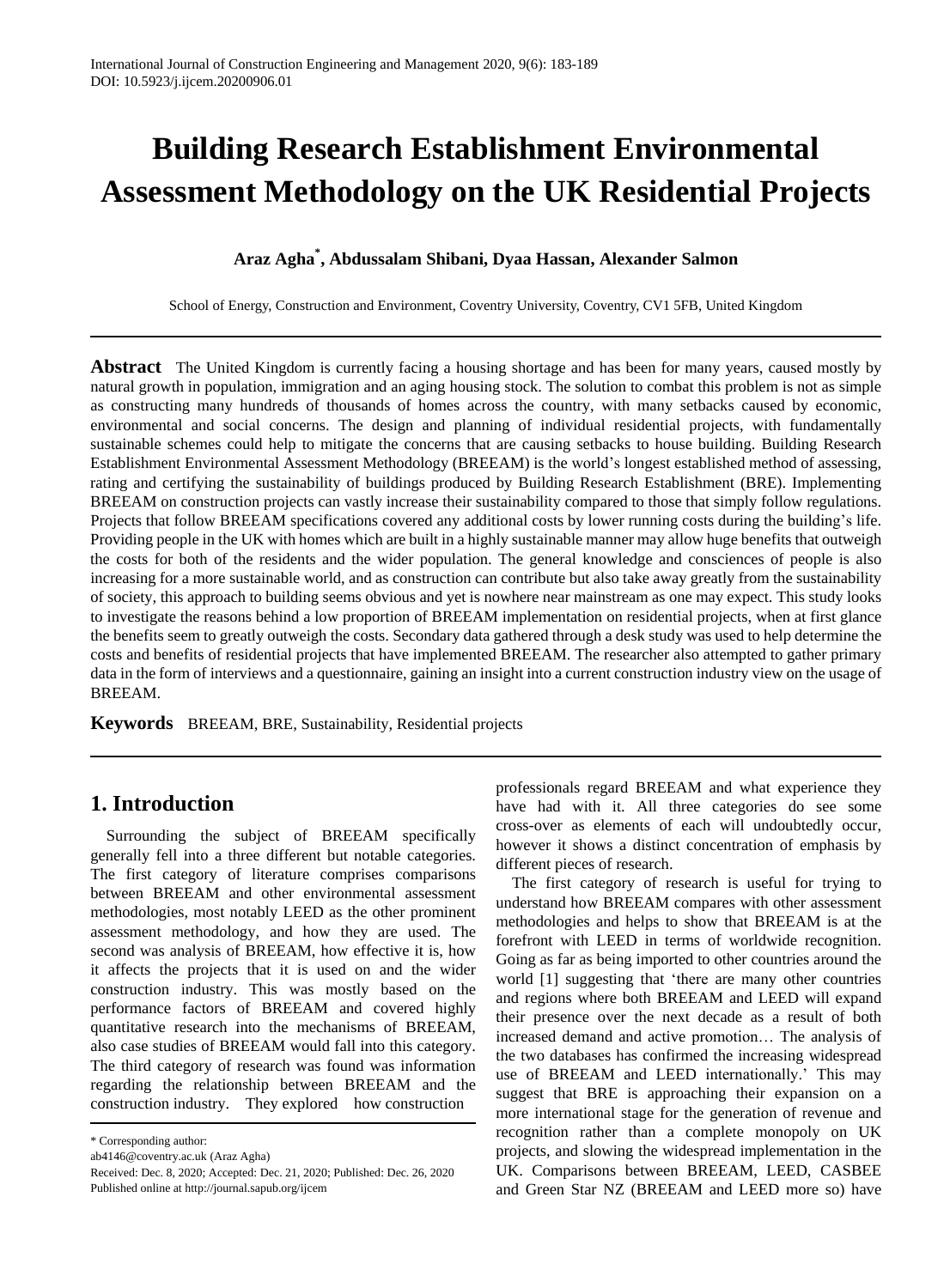# **Assessment Methodology on the UK Residential Projects Building Research Establishment Environmental**

#### **Araz Agha \* , Abdussalam Shibani, Dyaa Hassan, Alexander Salmon**

School of Energy, Construction and Environment, Coventry University, Coventry, CV1 5FB, United Kingdom

 **Abstract** The United Kingdom is currently facing a housing shortage and has been for many years, caused mostly by natural growth in population, immigration and an aging housing stock. The solution to combat this problem is not as simple as constructing many hundreds of thousands of homes across the country, with many setbacks caused by economic, environmental and social concerns. The design and planning of individual residential projects, with fundamentally sustainable schemes could help to mitigate the concerns that are causing setbacks to house building. Building Research Establishment Environmental Assessment Methodology (BREEAM) is the world's longest established method of assessing, rating and certifying the sustainability of buildings produced by Building Research Establishment (BRE). Implementing BREEAM on construction projects can vastly increase their sustainability compared to those that simply follow regulations. Projects that follow BREEAM specifications covered any additional costs by lower running costs during the building's life. Providing people in the UK with homes which are built in a highly sustainable manner may allow huge benefits that outweigh the costs for both of the residents and the wider population. The general knowledge and consciences of people is also increasing for a more sustainable world, and as construction can contribute but also take away greatly from the sustainability of society, this approach to building seems obvious and yet is nowhere near mainstream as one may expect. This study looks to investigate the reasons behind a low proportion of BREEAM implementation on residential projects, when at first glance the benefits seem to greatly outweigh the costs. Secondary data gathered through a desk study was used to help determine the costs and benefits of residential projects that have implemented BREEAM. The researcher also attempted to gather primary data in the form of interviews and a questionnaire, gaining an insight into a current construction industry view on the usage of BREEAM.

**Keywords** BREEAM, BRE, Sustainability, Residential projects

#### **1. Introduction**

 Surrounding the subject of BREEAM specifically generally fell into a three different but notable categories. The first category of literature comprises comparisons between BREEAM and other environmental assessment methodologies, most notably LEED as the other prominent assessment methodology, and how they are used. The second was analysis of BREEAM, how effective it is, how it affects the projects that it is used on and the wider construction industry. This was mostly based on the performance factors of BREEAM and covered highly quantitative research into the mechanisms of BREEAM, also case studies of BREEAM would fall into this category. The third category of research was found was information regarding the relationship between BREEAM and the construction industry. They explored how construction

 professionals regard BREEAM and what experience they have had with it. All three categories do see some cross-over as elements of each will undoubtedly occur, however it shows a distinct concentration of emphasis by different pieces of research.

 The first category of research is useful for trying to understand how BREEAM compares with other assessment methodologies and helps to show that BREEAM is at the forefront with LEED in terms of worldwide recognition. Going as far as being imported to other countries around the world [1] suggesting that 'there are many other countries and regions where both BREEAM and LEED will expand their presence over the next decade as a result of both increased demand and active promotion… The analysis of the two databases has confirmed the increasing widespread use of BREEAM and LEED internationally.' This may suggest that BRE is approaching their expansion on a more international stage for the generation of revenue and recognition rather than a complete monopoly on UK projects, and slowing the widespread implementation in the UK. Comparisons between BREEAM, LEED, CASBEE and Green Star NZ (BREEAM and LEED more so) have

<sup>\*</sup> Corresponding author:

ab4146@coventry.ac.uk (Araz Agha)

 Received: Dec. 8, 2020; Accepted: Dec. 21, 2020; Published: Dec. 26, 2020 Published online at http://journal.sapub.org/ijcem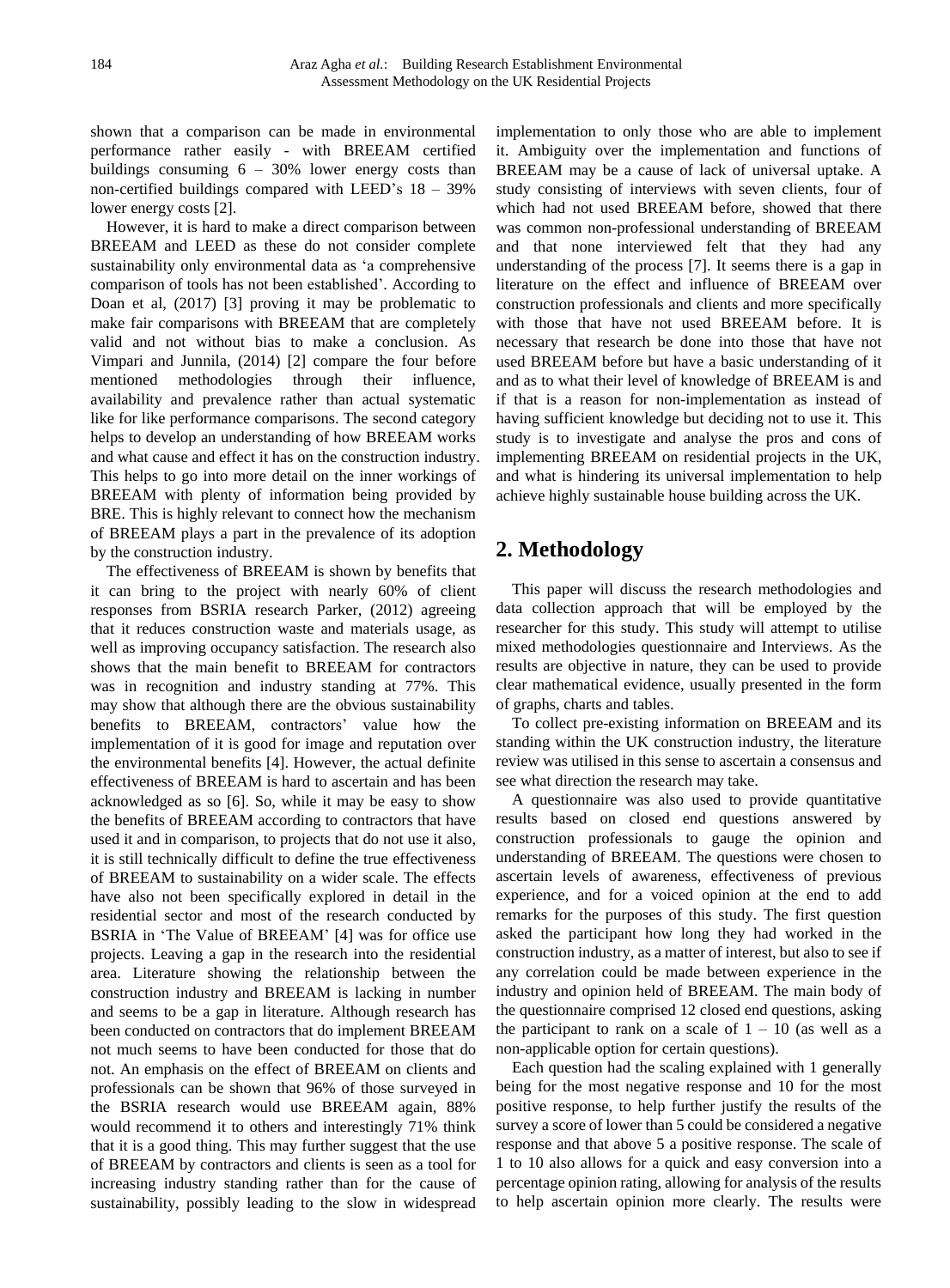shown that a comparison can be made in environmental performance rather easily - with BREEAM certified buildings consuming 6 – 30% lower energy costs than non-certified buildings compared with LEED's 18 – 39% lower energy costs [2].

 However, it is hard to make a direct comparison between BREEAM and LEED as these do not consider complete sustainability only environmental data as 'a comprehensive comparison of tools has not been established'. According to Doan et al, (2017) [3] proving it may be problematic to make fair comparisons with BREEAM that are completely valid and not without bias to make a conclusion. As Vimpari and Junnila, (2014) [2] compare the four before mentioned methodologies through their influence, availability and prevalence rather than actual systematic like for like performance comparisons. The second category helps to develop an understanding of how BREEAM works and what cause and effect it has on the construction industry. This helps to go into more detail on the inner workings of BREEAM with plenty of information being provided by BRE. This is highly relevant to connect how the mechanism of BREEAM plays a part in the prevalence of its adoption by the construction industry.

 The effectiveness of BREEAM is shown by benefits that it can bring to the project with nearly 60% of client responses from BSRIA research Parker, (2012) agreeing that it reduces construction waste and materials usage, as well as improving occupancy satisfaction. The research also shows that the main benefit to BREEAM for contractors was in recognition and industry standing at 77%. This may show that although there are the obvious sustainability benefits to BREEAM, contractors' value how the implementation of it is good for image and reputation over the environmental benefits [4]. However, the actual definite effectiveness of BREEAM is hard to ascertain and has been acknowledged as so [6]. So, while it may be easy to show the benefits of BREEAM according to contractors that have used it and in comparison, to projects that do not use it also, it is still technically difficult to define the true effectiveness of BREEAM to sustainability on a wider scale. The effects have also not been specifically explored in detail in the residential sector and most of the research conducted by BSRIA in 'The Value of BREEAM' [4] was for office use projects. Leaving a gap in the research into the residential area. Literature showing the relationship between the construction industry and BREEAM is lacking in number and seems to be a gap in literature. Although research has been conducted on contractors that do implement BREEAM not much seems to have been conducted for those that do not. An emphasis on the effect of BREEAM on clients and professionals can be shown that 96% of those surveyed in the BSRIA research would use BREEAM again, 88% would recommend it to others and interestingly 71% think that it is a good thing. This may further suggest that the use of BREEAM by contractors and clients is seen as a tool for increasing industry standing rather than for the cause of sustainability, possibly leading to the slow in widespread

 implementation to only those who are able to implement it. Ambiguity over the implementation and functions of BREEAM may be a cause of lack of universal uptake. A study consisting of interviews with seven clients, four of which had not used BREEAM before, showed that there was common non-professional understanding of BREEAM and that none interviewed felt that they had any understanding of the process [7]. It seems there is a gap in literature on the effect and influence of BREEAM over construction professionals and clients and more specifically with those that have not used BREEAM before. It is necessary that research be done into those that have not used BREEAM before but have a basic understanding of it and as to what their level of knowledge of BREEAM is and if that is a reason for non-implementation as instead of having sufficient knowledge but deciding not to use it. This study is to investigate and analyse the pros and cons of implementing BREEAM on residential projects in the UK, and what is hindering its universal implementation to help achieve highly sustainable house building across the UK.

## **2. Methodology**

 This paper will discuss the research methodologies and data collection approach that will be employed by the researcher for this study. This study will attempt to utilise mixed methodologies questionnaire and Interviews. As the results are objective in nature, they can be used to provide clear mathematical evidence, usually presented in the form of graphs, charts and tables.

 To collect pre-existing information on BREEAM and its standing within the UK construction industry, the literature review was utilised in this sense to ascertain a consensus and see what direction the research may take.

 A questionnaire was also used to provide quantitative results based on closed end questions answered by construction professionals to gauge the opinion and understanding of BREEAM. The questions were chosen to ascertain levels of awareness, effectiveness of previous experience, and for a voiced opinion at the end to add remarks for the purposes of this study. The first question asked the participant how long they had worked in the construction industry, as a matter of interest, but also to see if any correlation could be made between experience in the industry and opinion held of BREEAM. The main body of the questionnaire comprised 12 closed end questions, asking the participant to rank on a scale of  $1 - 10$  (as well as a non-applicable option for certain questions).

 Each question had the scaling explained with 1 generally being for the most negative response and 10 for the most positive response, to help further justify the results of the survey a score of lower than 5 could be considered a negative response and that above 5 a positive response. The scale of 1 to 10 also allows for a quick and easy conversion into a percentage opinion rating, allowing for analysis of the results to help ascertain opinion more clearly. The results were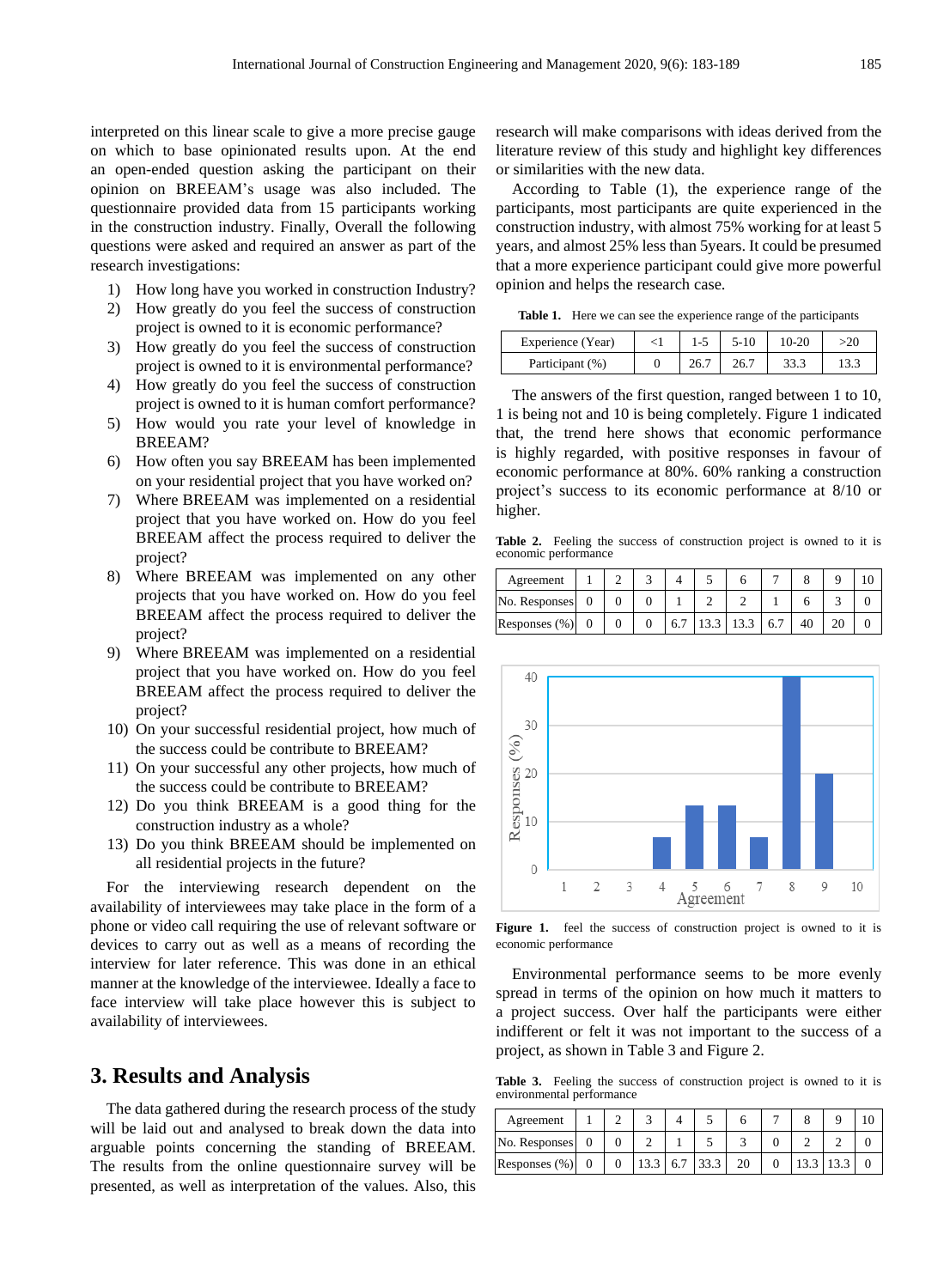interpreted on this linear scale to give a more precise gauge on which to base opinionated results upon. At the end an open-ended question asking the participant on their opinion on BREEAM's usage was also included. The questionnaire provided data from 15 participants working in the construction industry. Finally, Overall the following questions were asked and required an answer as part of the research investigations: research investigations:<br>
1) How long have you worked in construction Industry?

- 
- project is owned to it is economic performance? 2) How greatly do you feel the success of construction
- 3) How greatly do you feel the success of construction project is owned to it is environmental performance?
- 4) How greatly do you feel the success of construction project is owned to it is human comfort performance?
- 5) How would you rate your level of knowledge in BREEAM?
- 6) How often you say BREEAM has been implemented on your residential project that you have worked on?
- 7) Where BREEAM was implemented on a residential project that you have worked on. How do you feel BREEAM affect the process required to deliver the project? project?<br>8) Where BREEAM was implemented on any other
- projects that you have worked on. How do you feel BREEAM affect the process required to deliver the project?
- 9) project that you have worked on. How do you feel BREEAM affect the process required to deliver the project? Where BREEAM was implemented on a residential
- project?<br>10) On your successful residential project, how much of the success could be contribute to BREEAM?
- 11) On your successful any other projects, how much of the success could be contribute to BREEAM?
- 12) Do you think BREEAM is a good thing for the construction industry as a whole?
- 13) Do you think BREEAM should be implemented on all residential projects in the future?

 For the interviewing research dependent on the availability of interviewees may take place in the form of a phone or video call requiring the use of relevant software or devices to carry out as well as a means of recording the interview for later reference. This was done in an ethical manner at the knowledge of the interviewee. Ideally a face to face interview will take place however this is subject to availability of interviewees.

#### **3. Results and Analysis**

 The data gathered during the research process of the study will be laid out and analysed to break down the data into arguable points concerning the standing of BREEAM. The results from the online questionnaire survey will be presented, as well as interpretation of the values. Also, this  research will make comparisons with ideas derived from the literature review of this study and highlight key differences or similarities with the new data.

 According to Table (1), the experience range of the participants, most participants are quite experienced in the construction industry, with almost 75% working for at least 5 years, and almost 25% less than 5years. It could be presumed that a more experience participant could give more powerful opinion and helps the research case.

 **Table 1.** Here we can see the experience range of the participants

| Experience (Year) | $1-5$ | 5-10  | $10-20$ |  |
|-------------------|-------|-------|---------|--|
| Participant (%)   | 26.7  | -26.7 |         |  |

 The answers of the first question, ranged between 1 to 10, 1 is being not and 10 is being completely. Figure 1 indicated that, the trend here shows that economic performance is highly regarded, with positive responses in favour of economic performance at 80%. 60% ranking a construction project's success to its economic performance at 8/10 or higher.

 **Table 2.** Feeling the success of construction project is owned to it is economic performance

| Agreement        |  |     |           |     |    |  |
|------------------|--|-----|-----------|-----|----|--|
| No. Responses    |  |     |           |     |    |  |
| Responses $(\%)$ |  | 6.7 | 13.3 13.3 | 6.7 | 40 |  |



Figure 1. feel the success of construction project is owned to it is economic performance

 Environmental performance seems to be more evenly spread in terms of the opinion on how much it matters to a project success. Over half the participants were either indifferent or felt it was not important to the success of a project, as shown in Table 3 and Figure 2.

Table 3. Feeling the success of construction project is owned to it is environmental performance

| Agreement        |  |                  |      |  |  |  |
|------------------|--|------------------|------|--|--|--|
| No. Responses    |  |                  |      |  |  |  |
| Responses $(\%)$ |  | $13.3 \quad 6.7$ | 33.3 |  |  |  |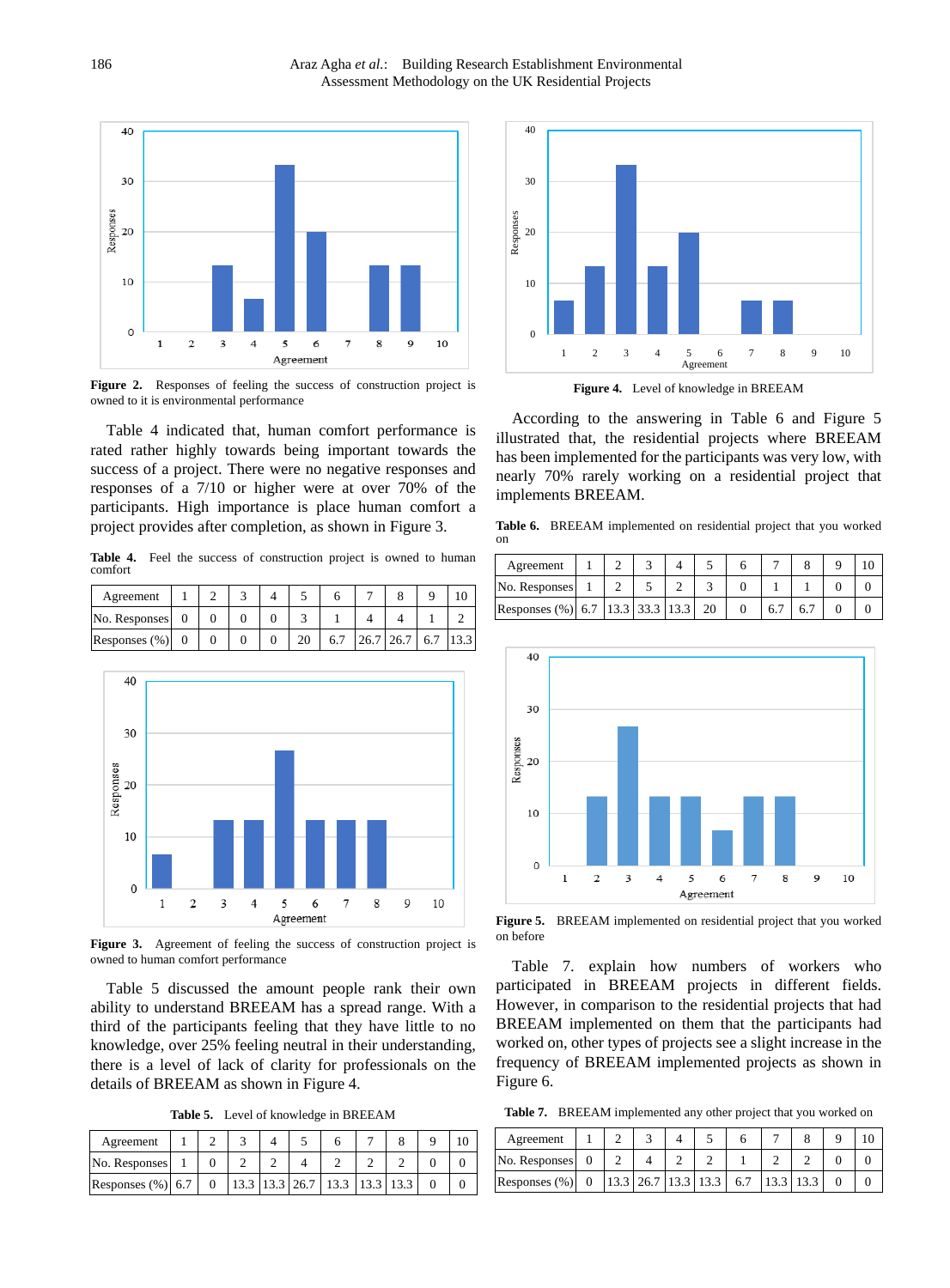

 **Figure 2.** Responses of feeling the success of construction project is owned to it is environmental performance

 Table 4 indicated that, human comfort performance is rated rather highly towards being important towards the success of a project. There were no negative responses and responses of a 7/10 or higher were at over 70% of the participants. High importance is place human comfort a project provides after completion, as shown in Figure 3.

Table 4. Feel the success of construction project is owned to human comfort

| Agreement          |  |  |    |                               |  |  |
|--------------------|--|--|----|-------------------------------|--|--|
| No. Responses 0    |  |  |    |                               |  |  |
| Responses $(\%)$ 0 |  |  | 20 | $\mid$ 6.7 26.7 26.7 6.7 13.3 |  |  |



Figure 3. Agreement of feeling the success of construction project is owned to human comfort performance

 Table 5 discussed the amount people rank their own ability to understand BREEAM has a spread range. With a third of the participants feeling that they have little to no knowledge, over 25% feeling neutral in their understanding, there is a level of lack of clarity for professionals on the details of BREEAM as shown in Figure 4.

Table 5. Level of knowledge in BREEAM

| Agreement            |  |  |                                 |  |  |
|----------------------|--|--|---------------------------------|--|--|
| No. Responses        |  |  |                                 |  |  |
| Responses $(\%)$ 6.7 |  |  | $13.3$ 13.3 26.7 13.3 13.3 13.3 |  |  |



**Figure 4.** Level of knowledge in BREEAM

 According to the answering in Table 6 and Figure 5 illustrated that, the residential projects where BREEAM has been implemented for the participants was very low, with nearly 70% rarely working on a residential project that implements BREEAM.

Table 6. BREEAM implemented on residential project that you worked on

| Agreement                                   |  |  |  |               |  |  |
|---------------------------------------------|--|--|--|---------------|--|--|
| No. Responses                               |  |  |  |               |  |  |
| Responses (%) 6.7   13.3   33.3   13.3   20 |  |  |  | $6.7 \pm 6.7$ |  |  |



Figure 5. BREEAM implemented on residential project that you worked on before

 Table 7. explain how numbers of workers who participated in BREEAM projects in different fields. However, in comparison to the residential projects that had BREEAM implemented on them that the participants had worked on, other types of projects see a slight increase in the frequency of BREEAM implemented projects as shown in Figure 6.

**Table 5.** Level of knowledge in BREEAM **Table 7. SREEAM** implemented any other project that you worked on

| Agreement     |  |  |                                                                               |  |  |
|---------------|--|--|-------------------------------------------------------------------------------|--|--|
| No. Responses |  |  |                                                                               |  |  |
| Responses (%) |  |  | $\vert 13.3 \vert 26.7 \vert 13.3 \vert 13.3 \vert 6.7 \vert 13.3 \vert 13.3$ |  |  |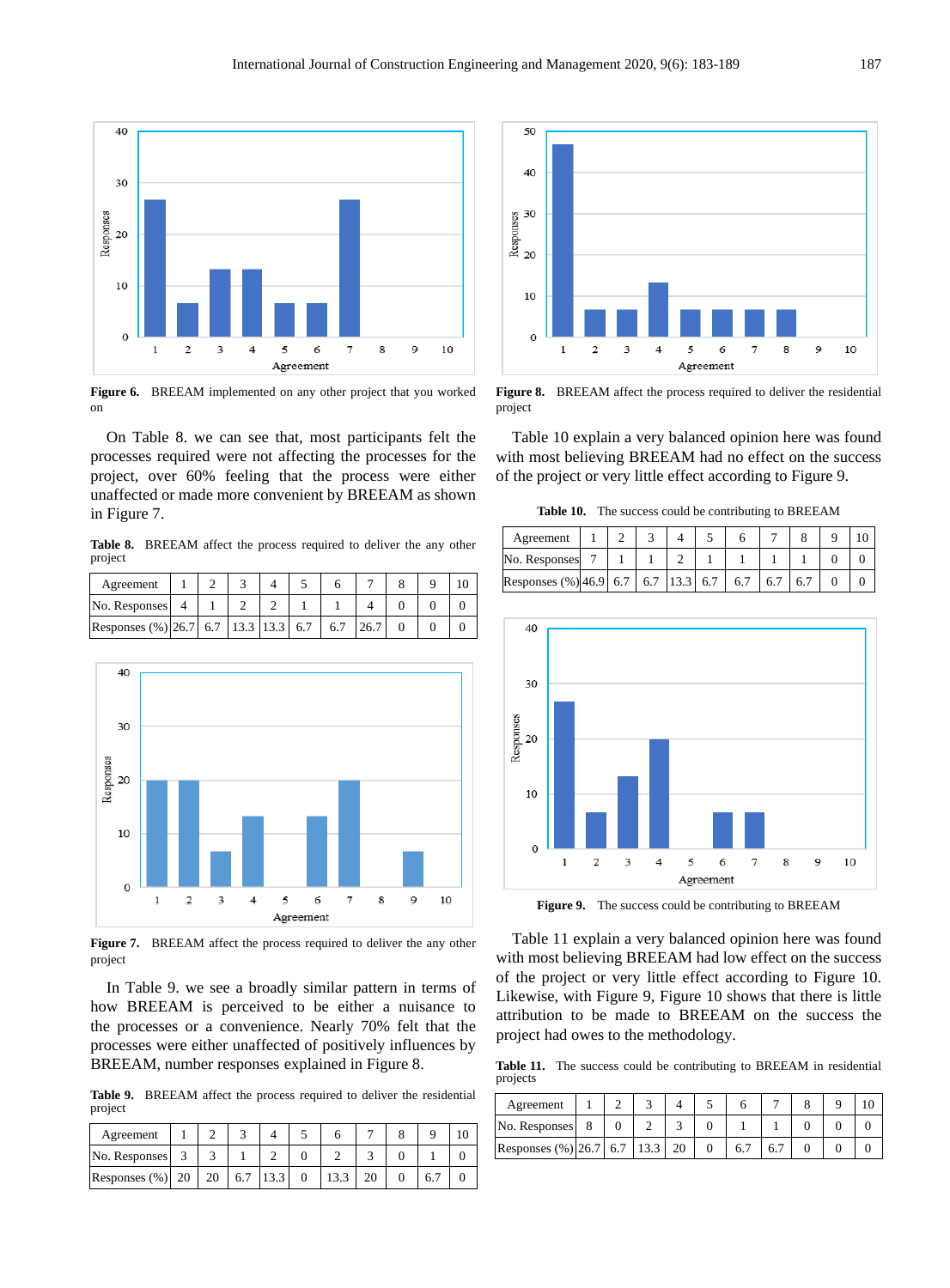

**Figure 6.** BREEAM implemented on any other project that you worked on

 On Table 8. we can see that, most participants felt the processes required were not affecting the processes for the project, over 60% feeling that the process were either unaffected or made more convenient by BREEAM as shown in Figure 7.

Table 8. BREEAM affect the process required to deliver the any other project

| Agreement                                   |  |  |  |  |  |
|---------------------------------------------|--|--|--|--|--|
| No. Responses                               |  |  |  |  |  |
| Responses $(\%)$ 26.7 6.7 13.3 13.3 6.7 6.7 |  |  |  |  |  |



**Figure 7.** BREEAM affect the process required to deliver the any other project

 In Table 9. we see a broadly similar pattern in terms of how BREEAM is perceived to be either a nuisance to the processes or a convenience. Nearly 70% felt that the processes were either unaffected of positively influences by BREEAM, number responses explained in Figure 8.

Table 9. BREEAM affect the process required to deliver the residential project

| Agreement           |  |     |  |  |  |  |
|---------------------|--|-----|--|--|--|--|
| No. Responses       |  |     |  |  |  |  |
| Responses $(\%)$ 20 |  | 6.7 |  |  |  |  |



**Figure 8.** BREEAM affect the process required to deliver the residential project

 Table 10 explain a very balanced opinion here was found with most believing BREEAM had no effect on the success of the project or very little effect according to Figure 9.

 **Table 10.** The success could be contributing to BREEAM

| Agreement                              |  |  |     |                  |  |  |
|----------------------------------------|--|--|-----|------------------|--|--|
| No. Responses                          |  |  |     |                  |  |  |
| Responses $(\%)$ 46.9 6.7 6.7 13.3 6.7 |  |  | 6.7 | 6.7 <sup>1</sup> |  |  |



Figure 9. The success could be contributing to BREEAM

 Table 11 explain a very balanced opinion here was found with most believing BREEAM had low effect on the success of the project or very little effect according to Figure 10. Likewise, with Figure 9, Figure 10 shows that there is little attribution to be made to BREEAM on the success the project had owes to the methodology.

Table 11. The success could be contributing to BREEAM in residential projects

| Agreement                   |  |  |    |  |  |
|-----------------------------|--|--|----|--|--|
| No. Responses               |  |  |    |  |  |
| Responses (%) 26.7 6.7 13.3 |  |  | 6. |  |  |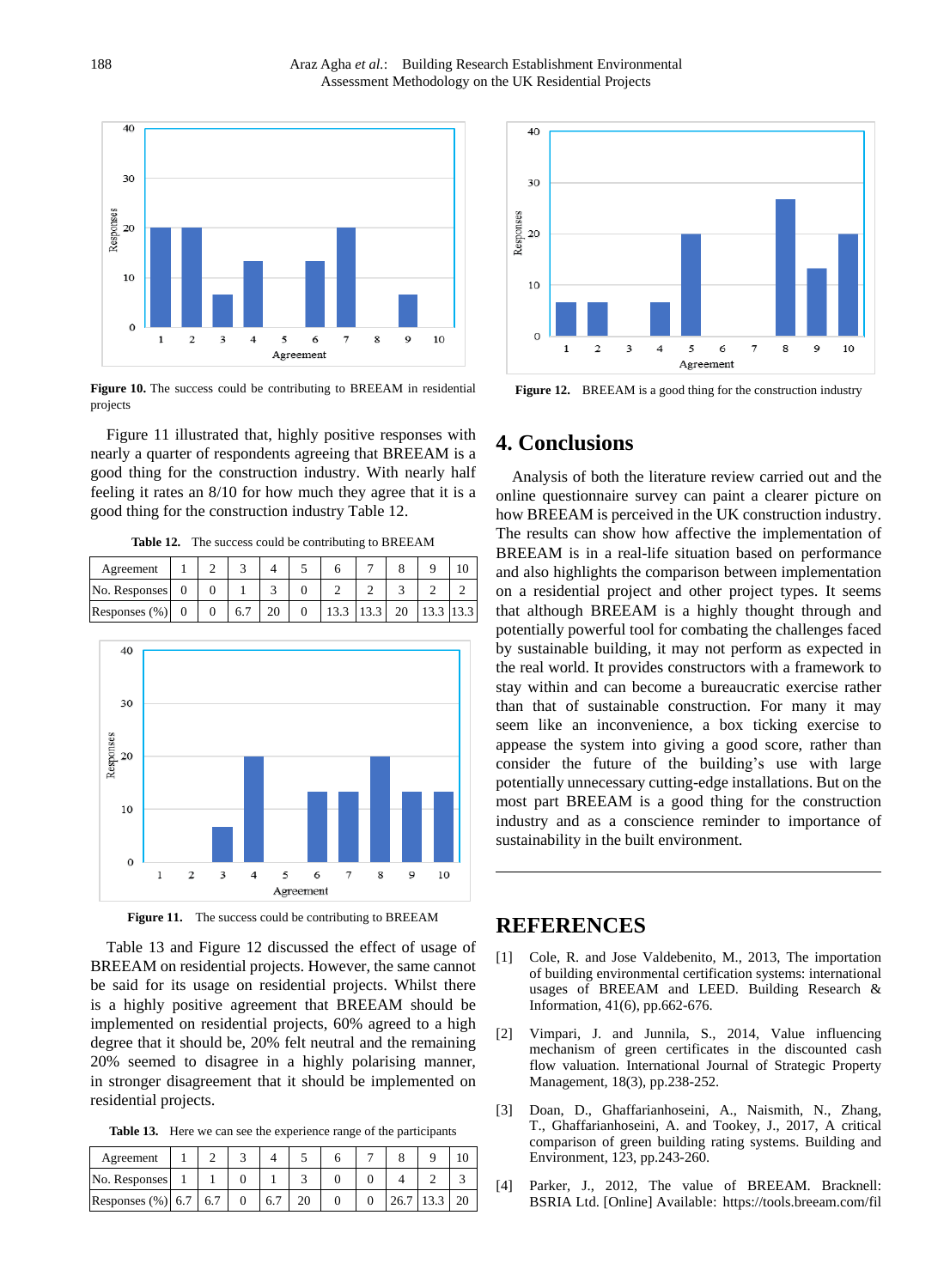

 **Figure 10.** The success could be contributing to BREEAM in residential projects

 Figure 11 illustrated that, highly positive responses with nearly a quarter of respondents agreeing that BREEAM is a good thing for the construction industry. With nearly half feeling it rates an 8/10 for how much they agree that it is a good thing for the construction industry Table 12.

 **Table 12.** The success could be contributing to BREEAM

| Agreement        |  |    |  |  |    |           |  |
|------------------|--|----|--|--|----|-----------|--|
| No. Responses    |  |    |  |  |    |           |  |
| Responses $(\%)$ |  | 6. |  |  | 20 | 13.3 13.3 |  |



Figure 11. The success could be contributing to BREEAM

 Table 13 and Figure 12 discussed the effect of usage of BREEAM on residential projects. However, the same cannot be said for its usage on residential projects. Whilst there is a highly positive agreement that BREEAM should be implemented on residential projects, 60% agreed to a high degree that it should be, 20% felt neutral and the remaining 20% seemed to disagree in a highly polarising manner, in stronger disagreement that it should be implemented on residential projects.

Table 13. Here we can see the experience range of the participants

| Agreement                |  |  |  |  |  |
|--------------------------|--|--|--|--|--|
| No. Responses            |  |  |  |  |  |
| Responses $(\%)$ 6.7 6.7 |  |  |  |  |  |



**Figure 12.** BREEAM is a good thing for the construction industry

#### **4. Conclusions**

 Analysis of both the literature review carried out and the online questionnaire survey can paint a clearer picture on how BREEAM is perceived in the UK construction industry. The results can show how affective the implementation of BREEAM is in a real-life situation based on performance and also highlights the comparison between implementation on a residential project and other project types. It seems that although BREEAM is a highly thought through and potentially powerful tool for combating the challenges faced by sustainable building, it may not perform as expected in the real world. It provides constructors with a framework to stay within and can become a bureaucratic exercise rather than that of sustainable construction. For many it may seem like an inconvenience, a box ticking exercise to appease the system into giving a good score, rather than consider the future of the building's use with large potentially unnecessary cutting-edge installations. But on the most part BREEAM is a good thing for the construction industry and as a conscience reminder to importance of sustainability in the built environment.

#### **REFERENCES**

- [1] Cole, R. and Jose Valdebenito, M., 2013, The importation of building environmental certification systems: international usages of BREEAM and LEED. Building Research & Information, 41(6), pp.662-676.
- [2] Vimpari, J. and Junnila, S., 2014, Value influencing mechanism of green certificates in the discounted cash flow valuation. International Journal of Strategic Property Management, 18(3), pp.238-252.
- [3] Doan, D., Ghaffarianhoseini, A., Naismith, N., Zhang, T., Ghaffarianhoseini, A. and Tookey, J., 2017, A critical comparison of green building rating systems. Building and Environment, 123, pp.243-260.
- [4] Parker, J., 2012, The value of BREEAM. Bracknell: BSRIA Ltd. [Online] Available[: https://tools.breeam.com/fil](https://tools.breeam.com/filelibrary/BREEAM%20and%20Value/The_Value_of_BREEAM.pdf)